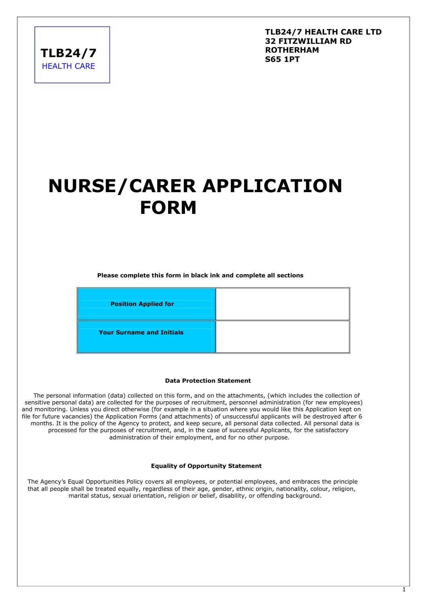**TLB24/7 HEALTH CARE** 

### **TLB24/7 HEALTH CARE LTD 32 FITZWILLIAM RD ROTHERHAM S65 1PT**

# **NURSE/CARER APPLICATION FORM**

**Please complete this form in black ink and complete all sections**



### **Data Protection Statement**

 The personal information (data) collected on this form, and on the attachments, (which includes the collection of sensitive personal data) are collected for the purposes of recruitment, personnel administration (for new employees) and monitoring. Unless you direct otherwise (for example in a situation where you would like this Application kept on file for future vacancies) the Application Forms (and attachments) of unsuccessful applicants will be destroyed after 6 months. It is the policy of the Agency to protect, and keep secure, all personal data collected. All personal data is processed for the purposes of recruitment, and, in the case of successful Applicants, for the satisfactory administration of their employment, and for no other purpose.

#### **Equality of Opportunity Statement**

The Agency's Equal Opportunities Policy covers all employees, or potential employees, and embraces the principle that all people shall be treated equally, regardless of their age, gender, ethnic origin, nationality, colour, religion, marital status, sexual orientation, religion or belief, disability, or offending background.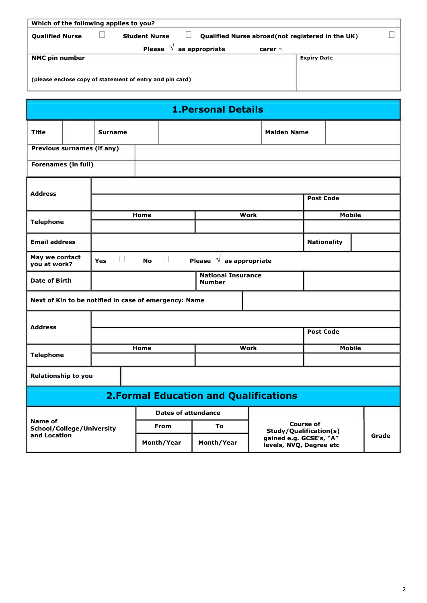| Which of the following applies to you?                                                                     |                    |  |  |  |  |  |
|------------------------------------------------------------------------------------------------------------|--------------------|--|--|--|--|--|
| <b>Qualified Nurse</b><br><b>Student Nurse</b><br><b>Qualified Nurse abroad (not registered in the UK)</b> |                    |  |  |  |  |  |
| as appropriate<br><b>Please</b><br>carer $\Box$                                                            |                    |  |  |  |  |  |
| <b>NMC pin number</b>                                                                                      | <b>Expiry Date</b> |  |  |  |  |  |
| (please enclose copy of statement of entry and pin card)                                                   |                    |  |  |  |  |  |

| <b>1. Personal Details</b>                   |                            |                      |           |                                                       |                                            |             |                                                    |                  |                    |       |
|----------------------------------------------|----------------------------|----------------------|-----------|-------------------------------------------------------|--------------------------------------------|-------------|----------------------------------------------------|------------------|--------------------|-------|
| <b>Title</b>                                 |                            | <b>Surname</b>       |           |                                                       |                                            |             | <b>Maiden Name</b>                                 |                  |                    |       |
|                                              | Previous surnames (if any) |                      |           |                                                       |                                            |             |                                                    |                  |                    |       |
| <b>Forenames (in full)</b>                   |                            |                      |           |                                                       |                                            |             |                                                    |                  |                    |       |
| <b>Address</b>                               |                            |                      |           |                                                       |                                            |             |                                                    |                  |                    |       |
|                                              |                            |                      |           |                                                       |                                            |             |                                                    | <b>Post Code</b> |                    |       |
| <b>Telephone</b>                             |                            |                      | Home      |                                                       |                                            | <b>Work</b> |                                                    |                  | <b>Mobile</b>      |       |
|                                              |                            |                      |           |                                                       |                                            |             |                                                    |                  |                    |       |
| <b>Email address</b>                         |                            |                      |           |                                                       |                                            |             |                                                    |                  | <b>Nationality</b> |       |
| May we contact<br>you at work?               |                            | $\Box$<br><b>Yes</b> | <b>No</b> | $\Box$                                                | Please $\sqrt{ }$ as appropriate           |             |                                                    |                  |                    |       |
| Date of Birth                                |                            |                      |           |                                                       | <b>National Insurance</b><br><b>Number</b> |             |                                                    |                  |                    |       |
|                                              |                            |                      |           | Next of Kin to be notified in case of emergency: Name |                                            |             |                                                    |                  |                    |       |
|                                              |                            |                      |           |                                                       |                                            |             |                                                    |                  |                    |       |
| <b>Address</b>                               |                            |                      |           |                                                       |                                            |             |                                                    | <b>Post Code</b> |                    |       |
| <b>Telephone</b>                             |                            |                      | Home      |                                                       |                                            | <b>Work</b> |                                                    | <b>Mobile</b>    |                    |       |
|                                              |                            |                      |           |                                                       |                                            |             |                                                    |                  |                    |       |
| <b>Relationship to you</b>                   |                            |                      |           |                                                       |                                            |             |                                                    |                  |                    |       |
| <b>2.Formal Education and Qualifications</b> |                            |                      |           |                                                       |                                            |             |                                                    |                  |                    |       |
|                                              |                            |                      |           | <b>Dates of attendance</b>                            |                                            |             |                                                    |                  |                    |       |
| Name of<br>School/College/University         |                            |                      |           | <b>From</b>                                           | To                                         |             | <b>Course of</b><br>Study/Qualification(s)         |                  |                    |       |
| and Location                                 |                            |                      |           | Month/Year                                            | Month/Year                                 |             | gained e.g. GCSE's, "A"<br>levels, NVQ, Degree etc |                  |                    | Grade |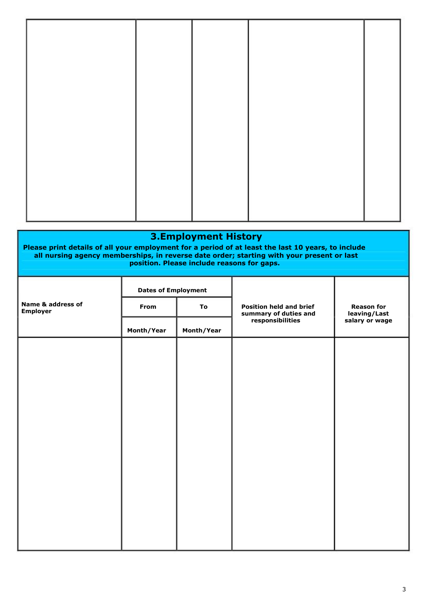| <b>3.Employment History</b><br>Please print details of all your employment for a period of at least the last 10 years, to include<br>all nursing agency memberships, in reverse date order; starting with your present or last<br>position. Please include reasons for gaps. |                            |            |                                                         |                                   |  |  |  |
|------------------------------------------------------------------------------------------------------------------------------------------------------------------------------------------------------------------------------------------------------------------------------|----------------------------|------------|---------------------------------------------------------|-----------------------------------|--|--|--|
|                                                                                                                                                                                                                                                                              | <b>Dates of Employment</b> |            |                                                         |                                   |  |  |  |
| Name & address of<br><b>Employer</b>                                                                                                                                                                                                                                         | From                       | To         | <b>Position held and brief</b><br>summary of duties and | <b>Reason for</b><br>leaving/Last |  |  |  |
|                                                                                                                                                                                                                                                                              | Month/Year                 | Month/Year | responsibilities                                        | salary or wage                    |  |  |  |
|                                                                                                                                                                                                                                                                              |                            |            |                                                         |                                   |  |  |  |
|                                                                                                                                                                                                                                                                              |                            |            |                                                         |                                   |  |  |  |
|                                                                                                                                                                                                                                                                              |                            |            |                                                         |                                   |  |  |  |
|                                                                                                                                                                                                                                                                              |                            |            |                                                         |                                   |  |  |  |
|                                                                                                                                                                                                                                                                              |                            |            |                                                         |                                   |  |  |  |
|                                                                                                                                                                                                                                                                              |                            |            |                                                         |                                   |  |  |  |
|                                                                                                                                                                                                                                                                              |                            |            |                                                         |                                   |  |  |  |
|                                                                                                                                                                                                                                                                              |                            |            |                                                         |                                   |  |  |  |
|                                                                                                                                                                                                                                                                              |                            |            |                                                         |                                   |  |  |  |
|                                                                                                                                                                                                                                                                              |                            |            |                                                         |                                   |  |  |  |
|                                                                                                                                                                                                                                                                              |                            |            |                                                         |                                   |  |  |  |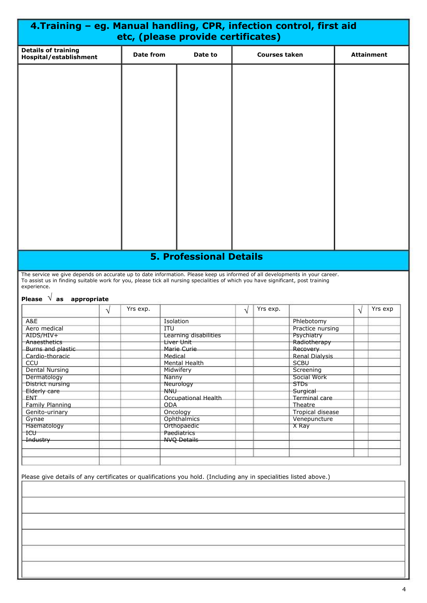|                                                                                                                                                                                                                                                                                                                       |   |                  | 4. Training - eg. Manual handling, CPR, infection control, first aid<br>etc, (please provide certificates) |           |                      |                                      |           |                   |
|-----------------------------------------------------------------------------------------------------------------------------------------------------------------------------------------------------------------------------------------------------------------------------------------------------------------------|---|------------------|------------------------------------------------------------------------------------------------------------|-----------|----------------------|--------------------------------------|-----------|-------------------|
| <b>Details of training</b><br>Hospital/establishment                                                                                                                                                                                                                                                                  |   | <b>Date from</b> | Date to                                                                                                    |           | <b>Courses taken</b> |                                      |           | <b>Attainment</b> |
|                                                                                                                                                                                                                                                                                                                       |   |                  |                                                                                                            |           |                      |                                      |           |                   |
| The service we give depends on accurate up to date information. Please keep us informed of all developments in your career.<br>To assist us in finding suitable work for you, please tick all nursing specialities of which you have significant, post training<br>experience.<br>Please $\sqrt{ }$ as<br>appropriate |   |                  | <b>5. Professional Details</b>                                                                             |           |                      |                                      |           |                   |
|                                                                                                                                                                                                                                                                                                                       |   | Yrs exp.         |                                                                                                            | $\sqrt{}$ | Yrs exp.             |                                      | $\sqrt{}$ | Yrs exp           |
|                                                                                                                                                                                                                                                                                                                       | V |                  |                                                                                                            |           |                      |                                      |           |                   |
| A&E<br>Aero medical                                                                                                                                                                                                                                                                                                   |   |                  | Isolation<br><b>ITU</b>                                                                                    |           |                      | Phlebotomy<br>Practice nursing       |           |                   |
| AIDS/HIV+                                                                                                                                                                                                                                                                                                             |   |                  | Learning disabilities                                                                                      |           |                      | Psychiatry                           |           |                   |
| Anaesthetics                                                                                                                                                                                                                                                                                                          |   |                  | Liver Unit                                                                                                 |           |                      | Radiotherapy                         |           |                   |
| Burns and plastic                                                                                                                                                                                                                                                                                                     |   |                  | Marie Curie                                                                                                |           |                      | Recovery                             |           |                   |
| Cardio-thoracic                                                                                                                                                                                                                                                                                                       |   |                  | Medical<br>Mental Health                                                                                   |           |                      | <b>Renal Dialysis</b><br><b>SCBU</b> |           |                   |
| CCU<br><b>Dental Nursing</b>                                                                                                                                                                                                                                                                                          |   |                  | Midwifery                                                                                                  |           |                      | Screening                            |           |                   |
| Dermatology                                                                                                                                                                                                                                                                                                           |   |                  | Nanny                                                                                                      |           |                      | Social Work                          |           |                   |
| District nursing                                                                                                                                                                                                                                                                                                      |   |                  | Neurology                                                                                                  |           |                      | <b>STDs</b>                          |           |                   |
| Elderly care                                                                                                                                                                                                                                                                                                          |   |                  | NNU-                                                                                                       |           |                      | Surgical                             |           |                   |
| ENT<br>Family Planning                                                                                                                                                                                                                                                                                                |   |                  | Occupational Health<br><b>ODA</b>                                                                          |           |                      | Terminal care<br>Theatre             |           |                   |
| Genito-urinary                                                                                                                                                                                                                                                                                                        |   |                  | Oncology                                                                                                   |           |                      | <b>Tropical disease</b>              |           |                   |
| Gynae                                                                                                                                                                                                                                                                                                                 |   |                  | Ophthalmics                                                                                                |           |                      | Venepuncture                         |           |                   |
| Haematology                                                                                                                                                                                                                                                                                                           |   |                  | Orthopaedic                                                                                                |           |                      | X Ray                                |           |                   |
| <b>ICU</b><br>Industry                                                                                                                                                                                                                                                                                                |   |                  | Paediatrics<br><b>NVQ Details</b>                                                                          |           |                      |                                      |           |                   |
|                                                                                                                                                                                                                                                                                                                       |   |                  |                                                                                                            |           |                      |                                      |           |                   |
|                                                                                                                                                                                                                                                                                                                       |   |                  |                                                                                                            |           |                      |                                      |           |                   |
|                                                                                                                                                                                                                                                                                                                       |   |                  |                                                                                                            |           |                      |                                      |           |                   |
| Please give details of any certificates or qualifications you hold. (Including any in specialities listed above.)                                                                                                                                                                                                     |   |                  |                                                                                                            |           |                      |                                      |           |                   |
|                                                                                                                                                                                                                                                                                                                       |   |                  |                                                                                                            |           |                      |                                      |           |                   |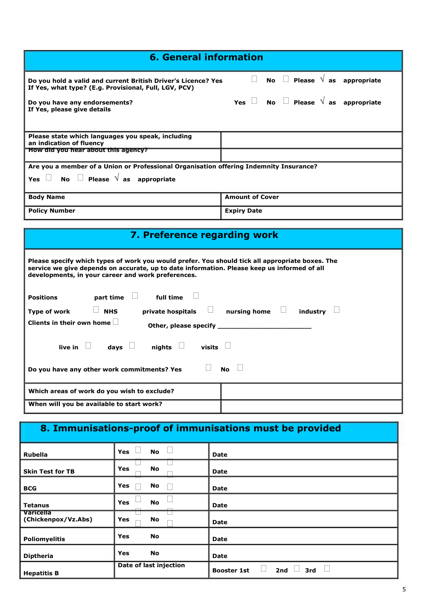| <b>6. General information</b>                                                                                                                                                                                                                        |                                                                                        |  |  |  |  |  |  |  |
|------------------------------------------------------------------------------------------------------------------------------------------------------------------------------------------------------------------------------------------------------|----------------------------------------------------------------------------------------|--|--|--|--|--|--|--|
| Do you hold a valid and current British Driver's Licence? Yes<br>If Yes, what type? (E.g. Provisional, Full, LGV, PCV)                                                                                                                               | No $\Box$ Please $\sqrt{ }$ as appropriate<br>$\Box$                                   |  |  |  |  |  |  |  |
| Do you have any endorsements?<br>If Yes, please give details                                                                                                                                                                                         | Yes $\Box$ No $\Box$ Please $\sqrt{ }$ as appropriate                                  |  |  |  |  |  |  |  |
| Please state which languages you speak, including<br>an indication of fluency<br>How did you hear about this agency?                                                                                                                                 |                                                                                        |  |  |  |  |  |  |  |
| No $\Box$ Please $\sqrt{ }$ as appropriate<br>Yes $\Box$                                                                                                                                                                                             | Are you a member of a Union or Professional Organisation offering Indemnity Insurance? |  |  |  |  |  |  |  |
| <b>Body Name</b>                                                                                                                                                                                                                                     | <b>Amount of Cover</b>                                                                 |  |  |  |  |  |  |  |
| <b>Policy Number</b>                                                                                                                                                                                                                                 | <b>Expiry Date</b>                                                                     |  |  |  |  |  |  |  |
| 7. Preference regarding work                                                                                                                                                                                                                         |                                                                                        |  |  |  |  |  |  |  |
|                                                                                                                                                                                                                                                      |                                                                                        |  |  |  |  |  |  |  |
| Please specify which types of work you would prefer. You should tick all appropriate boxes. The<br>service we give depends on accurate, up to date information. Please keep us informed of all<br>developments, in your career and work preferences. |                                                                                        |  |  |  |  |  |  |  |
| part time $\Box$ full time<br><b>Positions</b>                                                                                                                                                                                                       |                                                                                        |  |  |  |  |  |  |  |
| $\Box$ NHS<br>Type of work                                                                                                                                                                                                                           | private hospitals $\Box$ nursing home $\Box$ industry $\Box$                           |  |  |  |  |  |  |  |
| Clients in their own home $\Box$                                                                                                                                                                                                                     |                                                                                        |  |  |  |  |  |  |  |
| live in $\Box$ days $\Box$ nights $\Box$ visits $\Box$                                                                                                                                                                                               |                                                                                        |  |  |  |  |  |  |  |
| Do you have any other work commitments? Yes $\Box$ No $\Box$                                                                                                                                                                                         |                                                                                        |  |  |  |  |  |  |  |
| Which areas of work do you wish to exclude?                                                                                                                                                                                                          |                                                                                        |  |  |  |  |  |  |  |

#### **8. Immunisations-proof of immunisations must be provided Rubella Skin Test for TB BCG Tetanus Varicella (Chickenpox/Vz.Abs) Poliomyelitis Diptheria Hepatitis B Yes Yes Yes Yes Yes Yes Yes**  $\Box$  $\Box$ □ **No No No No No No No**  $\Box$  $\Box$  $\Box$ ਚ **Date Date Date Date Date Date Date Booster 1st** Date of last injection **because Booster 1st**  $\Box$  2nd  $\Box$  3rd  $\Box$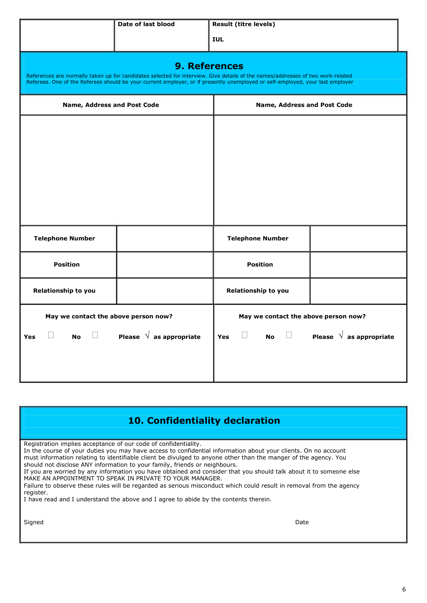|                                      | Date of last blood                                | <b>Result (titre levels)</b>                                                                                                                                                                                                                                      |  |  |
|--------------------------------------|---------------------------------------------------|-------------------------------------------------------------------------------------------------------------------------------------------------------------------------------------------------------------------------------------------------------------------|--|--|
|                                      |                                                   | <b>IUL</b>                                                                                                                                                                                                                                                        |  |  |
|                                      | <b>9. References</b>                              | References are normally taken up for candidates selected for interview. Give details of the names/addresses of two work-related<br>Referees. One of the Referees should be your current employer, or if presently unemployed or self-employed, your last employer |  |  |
| Name, Address and Post Code          |                                                   | Name, Address and Post Code                                                                                                                                                                                                                                       |  |  |
|                                      |                                                   |                                                                                                                                                                                                                                                                   |  |  |
|                                      |                                                   |                                                                                                                                                                                                                                                                   |  |  |
|                                      |                                                   |                                                                                                                                                                                                                                                                   |  |  |
|                                      |                                                   |                                                                                                                                                                                                                                                                   |  |  |
|                                      |                                                   |                                                                                                                                                                                                                                                                   |  |  |
| <b>Telephone Number</b>              |                                                   | <b>Telephone Number</b>                                                                                                                                                                                                                                           |  |  |
| <b>Position</b>                      |                                                   | <b>Position</b>                                                                                                                                                                                                                                                   |  |  |
| Relationship to you                  |                                                   | Relationship to you                                                                                                                                                                                                                                               |  |  |
| May we contact the above person now? |                                                   | May we contact the above person now?                                                                                                                                                                                                                              |  |  |
| <b>Yes</b>                           | $\Box$ No $\Box$ Please $\sqrt{ }$ as appropriate | Yes $\Box$ No $\Box$ Please $\sqrt{ }$ as appropriate                                                                                                                                                                                                             |  |  |
|                                      |                                                   |                                                                                                                                                                                                                                                                   |  |  |
|                                      |                                                   |                                                                                                                                                                                                                                                                   |  |  |

| 10. Confidentiality declaration |  |
|---------------------------------|--|
|---------------------------------|--|

Registration implies acceptance of our code of confidentiality.

In the course of your duties you may have access to confidential information about your clients. On no account must information relating to identifiable client be divulged to anyone other than the manger of the agency. You should not disclose ANY information to your family, friends or neighbours.

If you are worried by any information you have obtained and consider that you should talk about it to someone else MAKE AN APPOINTMENT TO SPEAK IN PRIVATE TO YOUR MANAGER.

Failure to observe these rules will be regarded as serious misconduct which could result in removal from the agency register.

I have read and I understand the above and I agree to abide by the contents therein.

Signed Date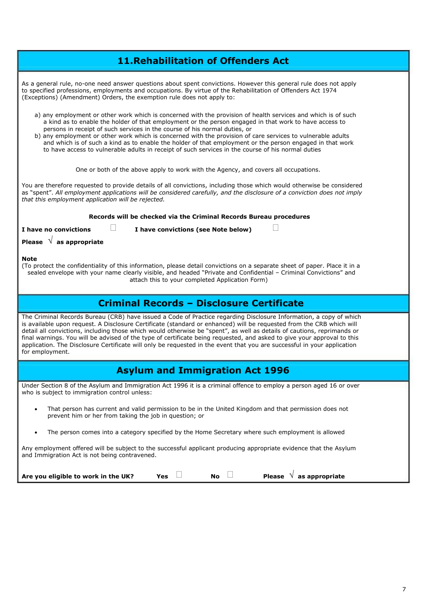| <b>11. Rehabilitation of Offenders Act</b>                                                                                                                                                                                                                                                                                                                                                                                                                                                                                                                                                                                                     |
|------------------------------------------------------------------------------------------------------------------------------------------------------------------------------------------------------------------------------------------------------------------------------------------------------------------------------------------------------------------------------------------------------------------------------------------------------------------------------------------------------------------------------------------------------------------------------------------------------------------------------------------------|
| As a general rule, no-one need answer guestions about spent convictions. However this general rule does not apply<br>to specified professions, employments and occupations. By virtue of the Rehabilitation of Offenders Act 1974<br>(Exceptions) (Amendment) Orders, the exemption rule does not apply to:                                                                                                                                                                                                                                                                                                                                    |
| a) any employment or other work which is concerned with the provision of health services and which is of such<br>a kind as to enable the holder of that employment or the person engaged in that work to have access to<br>persons in receipt of such services in the course of his normal duties, or<br>b) any employment or other work which is concerned with the provision of care services to vulnerable adults<br>and which is of such a kind as to enable the holder of that employment or the person engaged in that work<br>to have access to vulnerable adults in receipt of such services in the course of his normal duties        |
| One or both of the above apply to work with the Agency, and covers all occupations.                                                                                                                                                                                                                                                                                                                                                                                                                                                                                                                                                            |
| You are therefore requested to provide details of all convictions, including those which would otherwise be considered<br>as "spent". All employment applications will be considered carefully, and the disclosure of a conviction does not imply<br>that this employment application will be rejected.                                                                                                                                                                                                                                                                                                                                        |
| Records will be checked via the Criminal Records Bureau procedures                                                                                                                                                                                                                                                                                                                                                                                                                                                                                                                                                                             |
| I have no convictions<br>I have convictions (see Note below)                                                                                                                                                                                                                                                                                                                                                                                                                                                                                                                                                                                   |
| Please $\sqrt{ }$ as appropriate                                                                                                                                                                                                                                                                                                                                                                                                                                                                                                                                                                                                               |
| Note<br>(To protect the confidentiality of this information, please detail convictions on a separate sheet of paper. Place it in a<br>sealed envelope with your name clearly visible, and headed "Private and Confidential - Criminal Convictions" and<br>attach this to your completed Application Form)                                                                                                                                                                                                                                                                                                                                      |
| <b>Criminal Records - Disclosure Certificate</b>                                                                                                                                                                                                                                                                                                                                                                                                                                                                                                                                                                                               |
| The Criminal Records Bureau (CRB) have issued a Code of Practice regarding Disclosure Information, a copy of which<br>is available upon request. A Disclosure Certificate (standard or enhanced) will be requested from the CRB which will<br>detail all convictions, including those which would otherwise be "spent", as well as details of cautions, reprimands or<br>final warnings. You will be advised of the type of certificate being requested, and asked to give your approval to this<br>application. The Disclosure Certificate will only be requested in the event that you are successful in your application<br>for employment. |
| <b>Asylum and Immigration Act 1996</b>                                                                                                                                                                                                                                                                                                                                                                                                                                                                                                                                                                                                         |
| Under Section 8 of the Asylum and Immigration Act 1996 it is a criminal offence to employ a person aged 16 or over<br>who is subject to immigration control unless:                                                                                                                                                                                                                                                                                                                                                                                                                                                                            |
| That person has current and valid permission to be in the United Kingdom and that permission does not<br>$\bullet$<br>prevent him or her from taking the job in question; or                                                                                                                                                                                                                                                                                                                                                                                                                                                                   |
| The person comes into a category specified by the Home Secretary where such employment is allowed<br>$\bullet$                                                                                                                                                                                                                                                                                                                                                                                                                                                                                                                                 |
| Any employment offered will be subject to the successful applicant producing appropriate evidence that the Asylum<br>and Immigration Act is not being contravened.                                                                                                                                                                                                                                                                                                                                                                                                                                                                             |
| as appropriate<br><b>Please</b><br><b>No</b><br>Are you eligible to work in the UK?<br><b>Yes</b>                                                                                                                                                                                                                                                                                                                                                                                                                                                                                                                                              |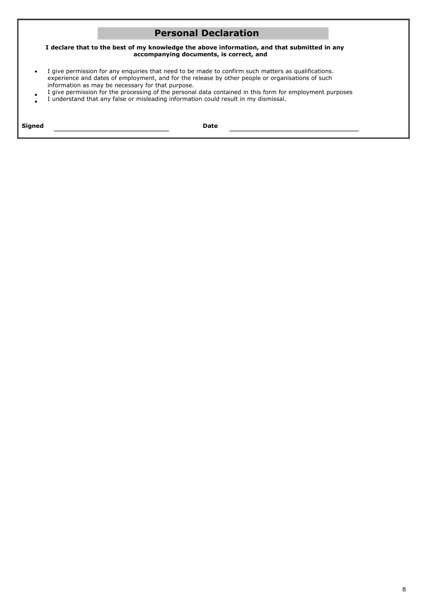### **Personal Declaration**

**I declare that to the best of my knowledge the above information, and that submitted in any accompanying documents, is correct, and**

- $\bullet$ I give permission for any enquiries that need to be made to confirm such matters as qualifications. experience and dates of employment, and for the release by other people or organisations of such information as may be necessary for that purpose.
- $\bullet$  $\bullet$ I give permission for the processing of the personal data contained in this form for employment purposes I understand that any false or misleading information could result in my dismissal.

| Siano.<br>orguea | ___ |
|------------------|-----|
|                  |     |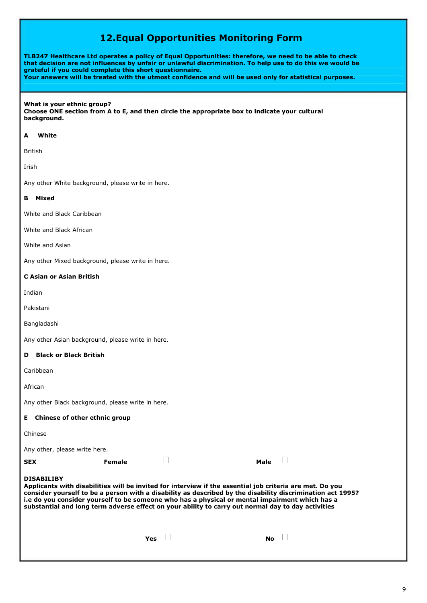## **12.Equal Opportunities Monitoring Form**

**TLB247 Healthcare Ltd operates a policy of Equal Opportunities: therefore, we need to be able to check** that decision are not influences by unfair or unlawful discrimination. To help use to do this we would be **grateful if you could complete this short questionnaire. Your answers will be treated with the utmost confidence and will be used only for statistical purposes.**

### **What is your ethnic group? Choose ONE section from A to E, and then circle the appropriate box to indicate your cultural background.**

### **A White**

British

Irish

Any other White background, please write in here.

### **B Mixed**

White and Black Caribbean

White and Black African

White and Asian

Any other Mixed background, please write in here.

### **C Asian or Asian British**

Indian

Pakistani

Bangladashi

Any other Asian background, please write in here.

### **D Black or Black British**

Caribbean

African

Any other Black background, please write in here.

|            | E Chinese of other ethnic group                                                                                                                                                                                                                                                                                                                                                                                                                     |  |           |  |  |  |  |  |  |
|------------|-----------------------------------------------------------------------------------------------------------------------------------------------------------------------------------------------------------------------------------------------------------------------------------------------------------------------------------------------------------------------------------------------------------------------------------------------------|--|-----------|--|--|--|--|--|--|
| Chinese    |                                                                                                                                                                                                                                                                                                                                                                                                                                                     |  |           |  |  |  |  |  |  |
|            | Any other, please write here.                                                                                                                                                                                                                                                                                                                                                                                                                       |  |           |  |  |  |  |  |  |
| <b>SEX</b> | Female                                                                                                                                                                                                                                                                                                                                                                                                                                              |  | Male      |  |  |  |  |  |  |
|            | <b>DISABILIBY</b><br>Applicants with disabilities will be invited for interview if the essential job criteria are met. Do you<br>consider yourself to be a person with a disability as described by the disability discrimination act 1995?<br>i.e do you consider yourself to be someone who has a physical or mental impairment which has a<br>substantial and long term adverse effect on your ability to carry out normal day to day activities |  |           |  |  |  |  |  |  |
|            | Yes                                                                                                                                                                                                                                                                                                                                                                                                                                                 |  | <b>No</b> |  |  |  |  |  |  |